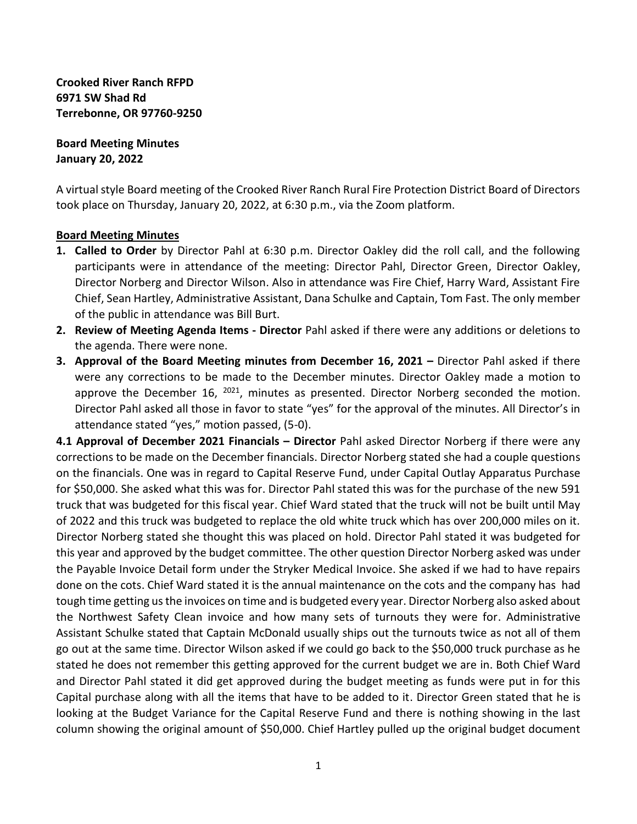**Crooked River Ranch RFPD 6971 SW Shad Rd Terrebonne, OR 97760-9250**

**Board Meeting Minutes January 20, 2022**

A virtual style Board meeting of the Crooked River Ranch Rural Fire Protection District Board of Directors took place on Thursday, January 20, 2022, at 6:30 p.m., via the Zoom platform.

## **Board Meeting Minutes**

- **1. Called to Order** by Director Pahl at 6:30 p.m. Director Oakley did the roll call, and the following participants were in attendance of the meeting: Director Pahl, Director Green, Director Oakley, Director Norberg and Director Wilson. Also in attendance was Fire Chief, Harry Ward, Assistant Fire Chief, Sean Hartley, Administrative Assistant, Dana Schulke and Captain, Tom Fast. The only member of the public in attendance was Bill Burt.
- **2. Review of Meeting Agenda Items - Director** Pahl asked if there were any additions or deletions to the agenda. There were none.
- **3. Approval of the Board Meeting minutes from December 16, 2021 Director Pahl asked if there** were any corrections to be made to the December minutes. Director Oakley made a motion to approve the December 16,  $^{2021}$ , minutes as presented. Director Norberg seconded the motion. Director Pahl asked all those in favor to state "yes" for the approval of the minutes. All Director's in attendance stated "yes," motion passed, (5-0).

**4.1 Approval of December 2021 Financials – Director** Pahl asked Director Norberg if there were any corrections to be made on the December financials. Director Norberg stated she had a couple questions on the financials. One was in regard to Capital Reserve Fund, under Capital Outlay Apparatus Purchase for \$50,000. She asked what this was for. Director Pahl stated this was for the purchase of the new 591 truck that was budgeted for this fiscal year. Chief Ward stated that the truck will not be built until May of 2022 and this truck was budgeted to replace the old white truck which has over 200,000 miles on it. Director Norberg stated she thought this was placed on hold. Director Pahl stated it was budgeted for this year and approved by the budget committee. The other question Director Norberg asked was under the Payable Invoice Detail form under the Stryker Medical Invoice. She asked if we had to have repairs done on the cots. Chief Ward stated it is the annual maintenance on the cots and the company has had tough time getting us the invoices on time and is budgeted every year. Director Norberg also asked about the Northwest Safety Clean invoice and how many sets of turnouts they were for. Administrative Assistant Schulke stated that Captain McDonald usually ships out the turnouts twice as not all of them go out at the same time. Director Wilson asked if we could go back to the \$50,000 truck purchase as he stated he does not remember this getting approved for the current budget we are in. Both Chief Ward and Director Pahl stated it did get approved during the budget meeting as funds were put in for this Capital purchase along with all the items that have to be added to it. Director Green stated that he is looking at the Budget Variance for the Capital Reserve Fund and there is nothing showing in the last column showing the original amount of \$50,000. Chief Hartley pulled up the original budget document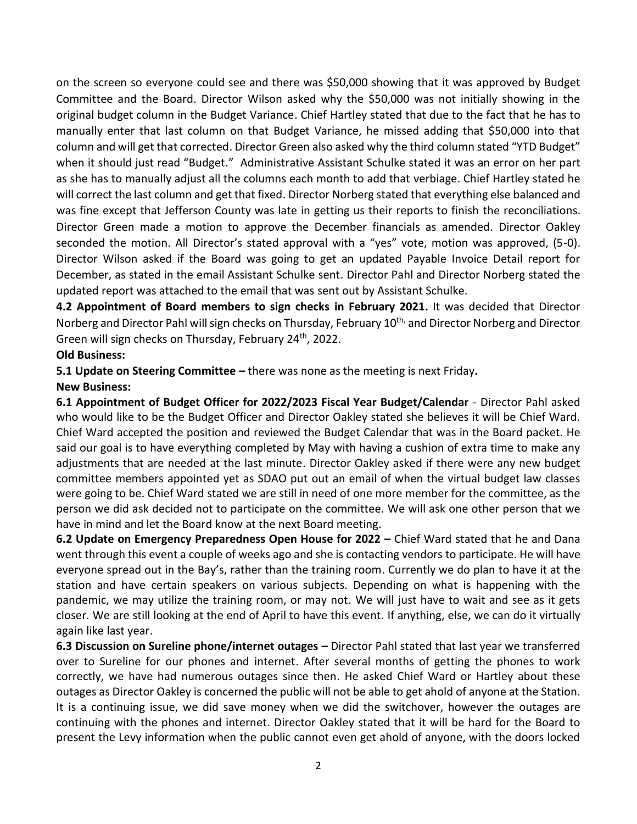on the screen so everyone could see and there was \$50,000 showing that it was approved by Budget Committee and the Board. Director Wilson asked why the \$50,000 was not initially showing in the original budget column in the Budget Variance. Chief Hartley stated that due to the fact that he has to manually enter that last column on that Budget Variance, he missed adding that \$50,000 into that column and will get that corrected. Director Green also asked why the third column stated "YTD Budget" when it should just read "Budget." Administrative Assistant Schulke stated it was an error on her part as she has to manually adjust all the columns each month to add that verbiage. Chief Hartley stated he will correct the last column and get that fixed. Director Norberg stated that everything else balanced and was fine except that Jefferson County was late in getting us their reports to finish the reconciliations. Director Green made a motion to approve the December financials as amended. Director Oakley seconded the motion. All Director's stated approval with a "yes" vote, motion was approved, (5-0). Director Wilson asked if the Board was going to get an updated Payable Invoice Detail report for December, as stated in the email Assistant Schulke sent. Director Pahl and Director Norberg stated the updated report was attached to the email that was sent out by Assistant Schulke.

**4.2 Appointment of Board members to sign checks in February 2021.** It was decided that Director Norberg and Director Pahl will sign checks on Thursday, February 10<sup>th,</sup> and Director Norberg and Director Green will sign checks on Thursday, February 24<sup>th</sup>, 2022.

## **Old Business:**

**5.1 Update on Steering Committee –** there was none as the meeting is next Friday**.**

## **New Business:**

**6.1 Appointment of Budget Officer for 2022/2023 Fiscal Year Budget/Calendar** - Director Pahl asked who would like to be the Budget Officer and Director Oakley stated she believes it will be Chief Ward. Chief Ward accepted the position and reviewed the Budget Calendar that was in the Board packet. He said our goal is to have everything completed by May with having a cushion of extra time to make any adjustments that are needed at the last minute. Director Oakley asked if there were any new budget committee members appointed yet as SDAO put out an email of when the virtual budget law classes were going to be. Chief Ward stated we are still in need of one more member for the committee, as the person we did ask decided not to participate on the committee. We will ask one other person that we have in mind and let the Board know at the next Board meeting.

**6.2 Update on Emergency Preparedness Open House for 2022 –** Chief Ward stated that he and Dana went through this event a couple of weeks ago and she is contacting vendors to participate. He will have everyone spread out in the Bay's, rather than the training room. Currently we do plan to have it at the station and have certain speakers on various subjects. Depending on what is happening with the pandemic, we may utilize the training room, or may not. We will just have to wait and see as it gets closer. We are still looking at the end of April to have this event. If anything, else, we can do it virtually again like last year.

**6.3 Discussion on Sureline phone/internet outages –** Director Pahl stated that last year we transferred over to Sureline for our phones and internet. After several months of getting the phones to work correctly, we have had numerous outages since then. He asked Chief Ward or Hartley about these outages as Director Oakley is concerned the public will not be able to get ahold of anyone at the Station. It is a continuing issue, we did save money when we did the switchover, however the outages are continuing with the phones and internet. Director Oakley stated that it will be hard for the Board to present the Levy information when the public cannot even get ahold of anyone, with the doors locked